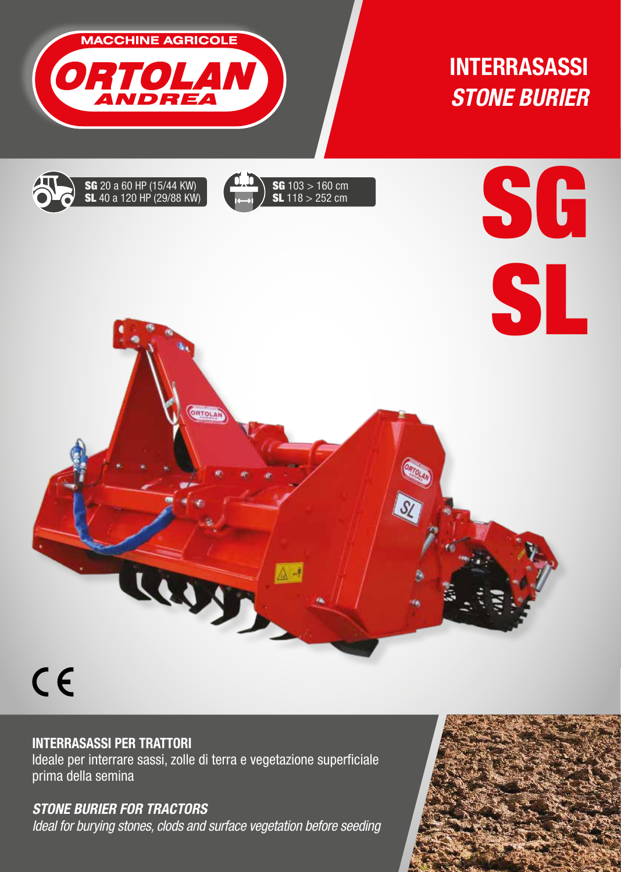

# INTERRASASSI  *STONE BURIER*

SG







# INTERRASASSI PER TRATTORI

Ideale per interrare sassi, zolle di terra e vegetazione superficiale prima della semina

# *STONE BURIER FOR TRACTORS*

*Ideal for burying stones, clods and surface vegetation before seeding*